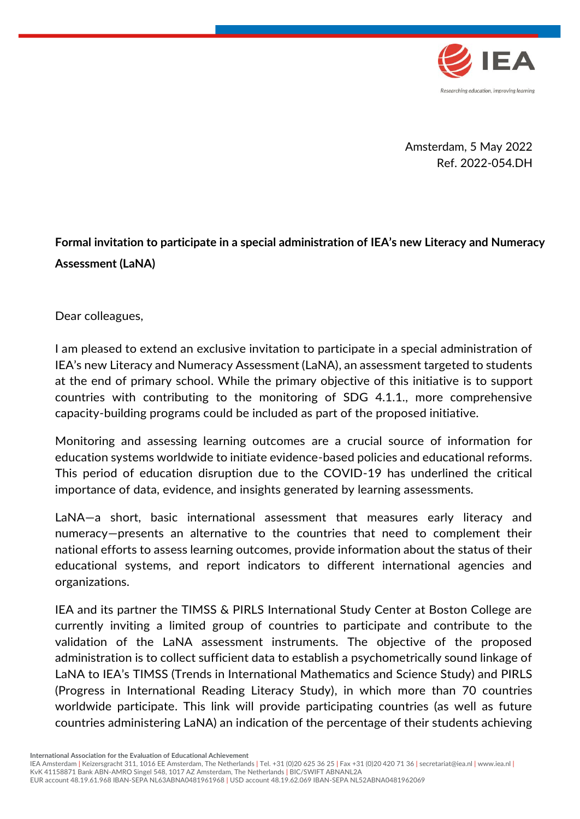

Amsterdam, 5 May 2022 Ref. 2022-054.DH

**Formal invitation to participate in a special administration of IEA's new Literacy and Numeracy Assessment (LaNA)**

Dear colleagues,

I am pleased to extend an exclusive invitation to participate in a special administration of IEA's new Literacy and Numeracy Assessment (LaNA), an assessment targeted to students at the end of primary school. While the primary objective of this initiative is to support countries with contributing to the monitoring of SDG 4.1.1., more comprehensive capacity-building programs could be included as part of the proposed initiative.

Monitoring and assessing learning outcomes are a crucial source of information for education systems worldwide to initiate evidence-based policies and educational reforms. This period of education disruption due to the COVID-19 has underlined the critical importance of data, evidence, and insights generated by learning assessments.

LaNA—a short, basic international assessment that measures early literacy and numeracy—presents an alternative to the countries that need to complement their national efforts to assess learning outcomes, provide information about the status of their educational systems, and report indicators to different international agencies and organizations.

IEA and its partner the TIMSS & PIRLS International Study Center at Boston College are currently inviting a limited group of countries to participate and contribute to the validation of the LaNA assessment instruments. The objective of the proposed administration is to collect sufficient data to establish a psychometrically sound linkage of LaNA to IEA's TIMSS (Trends in International Mathematics and Science Study) and PIRLS (Progress in International Reading Literacy Study), in which more than 70 countries worldwide participate. This link will provide participating countries (as well as future countries administering LaNA) an indication of the percentage of their students achieving

**International Association for the Evaluation of Educational Achievement**